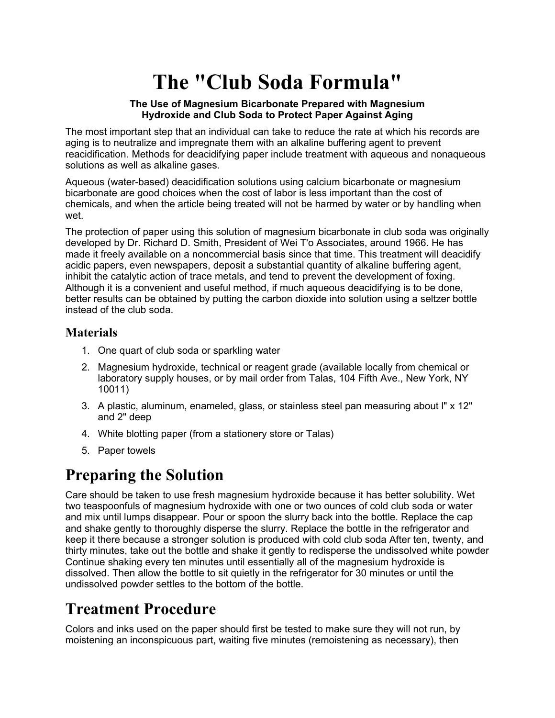# **The "Club Soda Formula"**

#### **The Use of Magnesium Bicarbonate Prepared with Magnesium Hydroxide and Club Soda to Protect Paper Against Aging**

The most important step that an individual can take to reduce the rate at which his records are aging is to neutralize and impregnate them with an alkaline buffering agent to prevent reacidification. Methods for deacidifying paper include treatment with aqueous and nonaqueous solutions as well as alkaline gases.

Aqueous (water-based) deacidification solutions using calcium bicarbonate or magnesium bicarbonate are good choices when the cost of labor is less important than the cost of chemicals, and when the article being treated will not be harmed by water or by handling when wet.

The protection of paper using this solution of magnesium bicarbonate in club soda was originally developed by Dr. Richard D. Smith, President of Wei T'o Associates, around 1966. He has made it freely available on a noncommercial basis since that time. This treatment will deacidify acidic papers, even newspapers, deposit a substantial quantity of alkaline buffering agent, inhibit the catalytic action of trace metals, and tend to prevent the development of foxing. Although it is a convenient and useful method, if much aqueous deacidifying is to be done, better results can be obtained by putting the carbon dioxide into solution using a seltzer bottle instead of the club soda.

### **Materials**

- 1. One quart of club soda or sparkling water
- 2. Magnesium hydroxide, technical or reagent grade (available locally from chemical or laboratory supply houses, or by mail order from Talas, 104 Fifth Ave., New York, NY 10011)
- 3. A plastic, aluminum, enameled, glass, or stainless steel pan measuring about l" x 12" and 2" deep
- 4. White blotting paper (from a stationery store or Talas)
- 5. Paper towels

### **Preparing the Solution**

Care should be taken to use fresh magnesium hydroxide because it has better solubility. Wet two teaspoonfuls of magnesium hydroxide with one or two ounces of cold club soda or water and mix until lumps disappear. Pour or spoon the slurry back into the bottle. Replace the cap and shake gently to thoroughly disperse the slurry. Replace the bottle in the refrigerator and keep it there because a stronger solution is produced with cold club soda After ten, twenty, and thirty minutes, take out the bottle and shake it gently to redisperse the undissolved white powder Continue shaking every ten minutes until essentially all of the magnesium hydroxide is dissolved. Then allow the bottle to sit quietly in the refrigerator for 30 minutes or until the undissolved powder settles to the bottom of the bottle.

## **Treatment Procedure**

Colors and inks used on the paper should first be tested to make sure they will not run, by moistening an inconspicuous part, waiting five minutes (remoistening as necessary), then